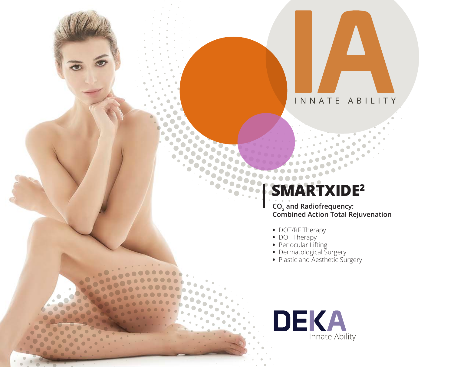

# **SMARTXIDE2**

**CO2 and Radiofrequency: Combined Action Total Rejuvenation** 

- **•** DOT/RF Therapy
- **•** DOT Therapy
- **•** Periocular Lifting
- **•** Dermatological Surgery
- **•** Plastic and Aesthetic Surgery

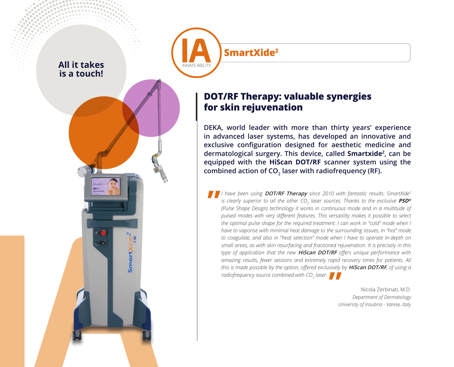

Smart

**SmartXide2**

### **DOT/RF Therapy: valuable synergies for skin rejuvenation**

**DEKA, world leader with more than thirty years' experience in advanced laser systems, has developed an innovative and exclusive configuration designed for aesthetic medicine and dermatological surgery. This device, called Smartxide2 , can be equipped with the HiScan DOT/RF scanner system using the**  combined action of CO<sub>2</sub> laser with radiofrequency (RF).

*I have been using* **DOT/RF Therapy** *since 2010 with fantastic results. SmartXide2* is clearly superior to all the other CO<sub>2</sub> laser sources. Thanks to the exclusive  $\bm{PSD}^{\bm{s}}$ *(Pulse Shape Design) technology it works in continuous mode and in a multitude of pulsed modes with very different features. This versatility makes it possible to select the optimal pulse shape for the required treatment. I can work in "cold" mode when I have to vaporise with minimal heat damage to the surrounding tissues, in "hot" mode to coagulate, and also in "heat selection" mode when I have to operate in-depth on small areas, as with skin resurfacing and fractioned rejuvenation. It is precisely in this type of application that the new* **HiScan DOT/RF** *offers unique performance with amazing results, fewer sessions and extremely rapid recovery times for patients. All this is made possible by the option, offered exclusively by* **HiScan DOT/RF***, of using a radiofrequency source combined with CO<sub>2</sub> laser.* **"**

Nicola Zerbinati, M.D. *Department of Dermatology University of Insubria - Varese, Italy*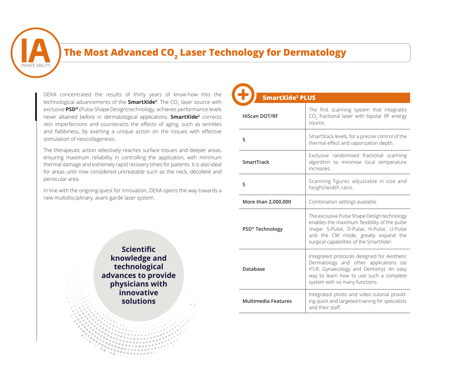

### **The Most Advanced CO<sub>2</sub> Laser Technology for Dermatology**

DEKA concentrated the results of thirty years of know-how into the technological advancements of the **SmartXide<sup>2</sup>**. The CO<sub>2</sub> laser source with exclusive **PSD®** (Pulse Shape Design) technology, achieves performance levels never attained before in dermatological applications. **SmartXide2** corrects skin imperfections and counteracts the effects of aging, such as wrinkles and flabbiness, by exerting a unique action on the tissues with effective stimulation of neocollagenesis.

The therapeutic action selectively reaches surface tissues and deeper areas, ensuring maximum reliability in controlling the application, with minimum thermal damage and extremely rapid recovery times for patients. It is also ideal for areas until now considered untreatable such as the neck, décolleté and periocular area.

In line with the ongoing quest for innovation, DEKA opens the way towards a new multidisciplinary, avant-garde laser system.

> **Scientific knowledge and technological advances to provide physicians with innovative solutions**

| <b>SmartXide<sup>2</sup> PLUS</b> |                                                                                                                                                                                                                                          |  |
|-----------------------------------|------------------------------------------------------------------------------------------------------------------------------------------------------------------------------------------------------------------------------------------|--|
| <b>HiScan DOT/RF</b>              | The first scanning system that integrates<br>CO <sub>2</sub> fractional laser with bipolar RF energy<br>source.                                                                                                                          |  |
| 5                                 | SmartStack levels, for a precise control of the<br>thermal effect and vaporization depth.                                                                                                                                                |  |
| SmartTrack                        | Exclusive randomised fractional scanning<br>algorithm to minimise local temperature<br>increases.                                                                                                                                        |  |
| 5                                 | Scanning figures adjustable in size and<br>height/width ratio.                                                                                                                                                                           |  |
| More than 2,000,000               | Combination settings available.                                                                                                                                                                                                          |  |
| PSD® Technology                   | The exclusive Pulse Shape Design technology<br>enables the maximum flexibility of the pulse<br>shape: S-Pulse, D-Pulse, H-Pulse, U-Pulse<br>and the CW mode, greatly expand the<br>surgical capabilities of the SmartXide <sup>2</sup> . |  |
| Database                          | Integrated protocols designed for Aesthetic<br>Dermatology and other applications (as<br>V <sup>2</sup> LR, Gynaecology and Dentistry). An easy<br>way to learn how to use such a complete<br>system with so many functions.             |  |
| <b>Multimedia Features</b>        | Integrated photo and video tutorial provid-<br>ing quick and targeted training for specialists<br>and their staff.                                                                                                                       |  |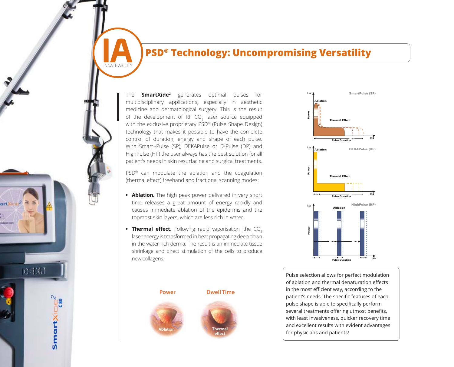### PSD<sup>®</sup> Technology: Uncompromising Versatility

The **SmartXide2** generates optimal pulses for multidisciplinary applications, especially in aesthetic medicine and dermatological surgery. This is the result of the development of RF  $CO<sub>2</sub>$  laser source equipped with the exclusive proprietary PSD® (Pulse Shape Design) technology that makes it possible to have the complete control of duration, energy and shape of each pulse. With Smart¬Pulse (SP), DEKAPulse or D-Pulse (DP) and HighPulse (HP) the user always has the best solution for all patient's needs in skin resurfacing and surgical treatments.

INNATE ABILITY

0330

SmartXiDE

PSD® can modulate the ablation and the coagulation (thermal effect) freehand and fractional scanning modes:

- **• Ablation.** The high peak power delivered in very short time releases a great amount of energy rapidly and causes immediate ablation of the epidermis and the topmost skin layers, which are less rich in water.
- **Thermal effect.** Following rapid vaporisation, the CO<sub>2</sub> laser energy is transformed in heat propagating deep down in the water-rich derma. The result is an immediate tissue shrinkage and direct stimulation of the cells to produce new collagens.

**effect**





Pulse selection allows for perfect modulation of ablation and thermal denaturation effects in the most efficient way, according to the m are most emerging way, according to the patient's needs. The specific features of each pulse shape is able to specifically perform several treatments offering utmost benefits, with least invasiveness, quicker recovery time and excellent results with evident advantages for physicians and patients!

Power Dwell

HighPulse (HP)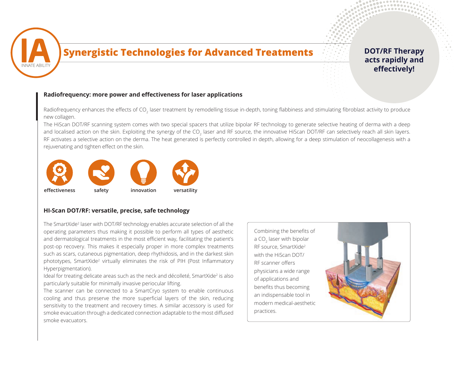

### **Synergistic Technologies for Advanced Treatments**

### **DOT/RF Therapy acts rapidly and effectively!**

. . . . . . . 

#### **Radiofrequency: more power and effectiveness for laser applications**

Radiofrequency enhances the effects of CO<sub>2</sub> laser treatment by remodelling tissue in-depth, toning flabbiness and stimulating fibroblast activity to produce new collagen.

The HiScan DOT/RF scanning system comes with two special spacers that utilize bipolar RF technology to generate selective heating of derma with a deep and localised action on the skin. Exploiting the synergy of the CO<sub>2</sub> laser and RF source, the innovative HiScan DOT/RF can selectively reach all skin layers. RF activates a selective action on the derma. The heat generated is perfectly controlled in depth, allowing for a deep stimulation of neocollagenesis with a rejuvenating and tighten effect on the skin.



#### **HI-Scan DOT/RF: versatile, precise, safe technology**

The SmartXide<sup>2</sup> laser with DOT/RF technology enables accurate selection of all the operating parameters thus making it possible to perform all types of aesthetic and dermatological treatments in the most efficient way, facilitating the patient's post-op recovery. This makes it especially proper in more complex treatments such as scars, cutaneous pigmentation, deep rhythidosis, and in the darkest skin phototypes, SmartXide<sup>2</sup> virtually eliminates the risk of PIH (Post Inflammatory Hyperpigmentation).

Ideal for treating delicate areas such as the neck and décolleté, SmartXide<sup>2</sup> is also particularly suitable for minimally invasive periocular lifting.

The scanner can be connected to a SmartCryo system to enable continuous cooling and thus preserve the more superficial layers of the skin, reducing sensitivity to the treatment and recovery times. A similar accessory is used for smoke evacuation through a dedicated connection adaptable to the most diffused smoke evacuators.

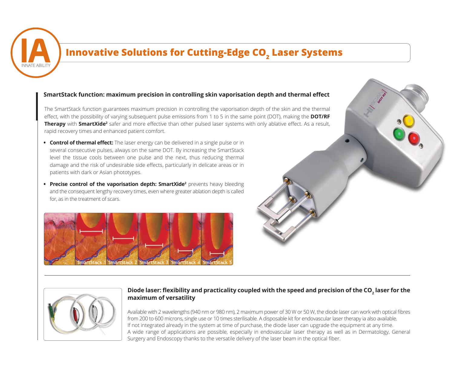

## **Innovative Solutions for Cutting-Edge CO<sub>2</sub> Laser Systems**

#### **SmartStack function: maximum precision in controlling skin vaporisation depth and thermal effect**

The SmartStack function guarantees maximum precision in controlling the vaporisation depth of the skin and the thermal effect, with the possibility of varying subsequent pulse emissions from 1 to 5 in the same point (DOT), making the **DOT/RF Therapy** with **SmartXide<sup>2</sup>** safer and more effective than other pulsed laser systems with only ablative effect. As a result, rapid recovery times and enhanced patient comfort.

- **• Control of thermal effect:** The laser energy can be delivered in a single pulse or in several consecutive pulses, always on the same DOT. By increasing the SmartStack level the tissue cools between one pulse and the next, thus reducing thermal damage and the risk of undesirable side effects, particularly in delicate areas or in patients with dark or Asian phototypes.
- **Precise control of the vaporisation depth: SmartXide<sup>2</sup> prevents heavy bleeding** and the consequent lengthy recovery times, even where greater ablation depth is called for, as in the treatment of scars.







#### **Diode laser: flexibility and practicality coupled with the speed and precision of the CO<sup>2</sup> laser for the maximum of versatility**

Available with 2 wavelengths (940 nm or 980 nm), 2 maximum power of 30 W or 50 W, the diode laser can work with optical fibres from 200 to 600 microns, single use or 10 times sterilisable. A disposable kit for endovascular laser therapy ia also available. If not integrated already in the system at time of purchase, the diode laser can upgrade the equipment at any time. A wide range of applications are possible, especially in endovascular laser therapy as well as in Dermatology, General Surgery and Endoscopy thanks to the versatile delivery of the laser beam in the optical fiber.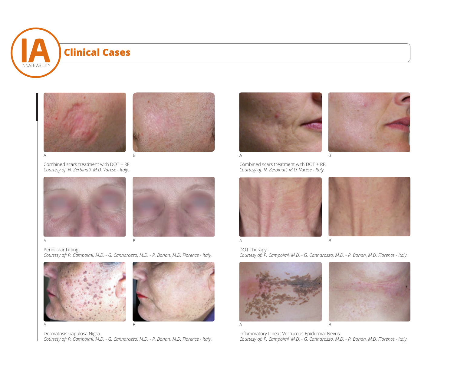



Combined scars treatment with DOT + RF. *Courtesy of: N. Zerbinati, M.D. Varese - Italy.*





Periocular Lifting. *Courtesy of: P. Campolmi, M.D. - G. Cannarozzo, M.D. - P. Bonan, M.D. Florence - Italy.*





Dermatosis papulosa Nigra.

*Courtesy of: P. Campolmi, M.D. - G. Cannarozzo, M.D. - P. Bonan, M.D. Florence - Italy.*

A B



Combined scars treatment with DOT + RF. *Courtesy of: N. Zerbinati, M.D. Varese - Italy.*







DOT Therapy. *Courtesy of: P. Campolmi, M.D. - G. Cannarozzo, M.D. - P. Bonan, M.D. Florence - Italy.*





Inflammatory Linear Verrucous Epidermal Nevus. *Courtesy of: P. Campolmi, M.D. - G. Cannarozzo, M.D. - P. Bonan, M.D. Florence - Italy.*